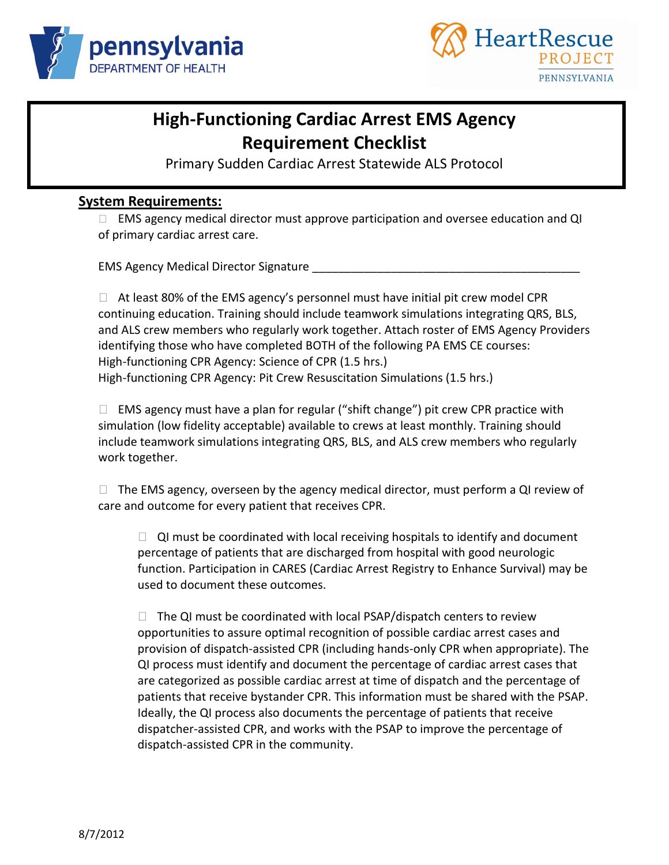



## **High-Functioning Cardiac Arrest EMS Agency Requirement Checklist**

Primary Sudden Cardiac Arrest Statewide ALS Protocol

#### **System Requirements:**

□ EMS agency medical director must approve participation and oversee education and QI of primary cardiac arrest care.

EMS Agency Medical Director Signature \_\_\_\_\_\_\_\_\_\_\_\_\_\_\_\_\_\_\_\_\_\_\_\_\_\_\_\_\_\_\_\_\_\_\_\_\_\_\_\_\_

 $\Box$  At least 80% of the EMS agency's personnel must have initial pit crew model CPR continuing education. Training should include teamwork simulations integrating QRS, BLS, and ALS crew members who regularly work together. Attach roster of EMS Agency Providers identifying those who have completed BOTH of the following PA EMS CE courses: High-functioning CPR Agency: Science of CPR (1.5 hrs.) High-functioning CPR Agency: Pit Crew Resuscitation Simulations (1.5 hrs.)

 $\Box$  EMS agency must have a plan for regular ("shift change") pit crew CPR practice with simulation (low fidelity acceptable) available to crews at least monthly. Training should include teamwork simulations integrating QRS, BLS, and ALS crew members who regularly work together.

 $\Box$  The EMS agency, overseen by the agency medical director, must perform a QI review of care and outcome for every patient that receives CPR.

 $\Box$  QI must be coordinated with local receiving hospitals to identify and document percentage of patients that are discharged from hospital with good neurologic function. Participation in CARES (Cardiac Arrest Registry to Enhance Survival) may be used to document these outcomes.

 $\Box$  The QI must be coordinated with local PSAP/dispatch centers to review opportunities to assure optimal recognition of possible cardiac arrest cases and provision of dispatch-assisted CPR (including hands-only CPR when appropriate). The QI process must identify and document the percentage of cardiac arrest cases that are categorized as possible cardiac arrest at time of dispatch and the percentage of patients that receive bystander CPR. This information must be shared with the PSAP. Ideally, the QI process also documents the percentage of patients that receive dispatcher-assisted CPR, and works with the PSAP to improve the percentage of dispatch-assisted CPR in the community.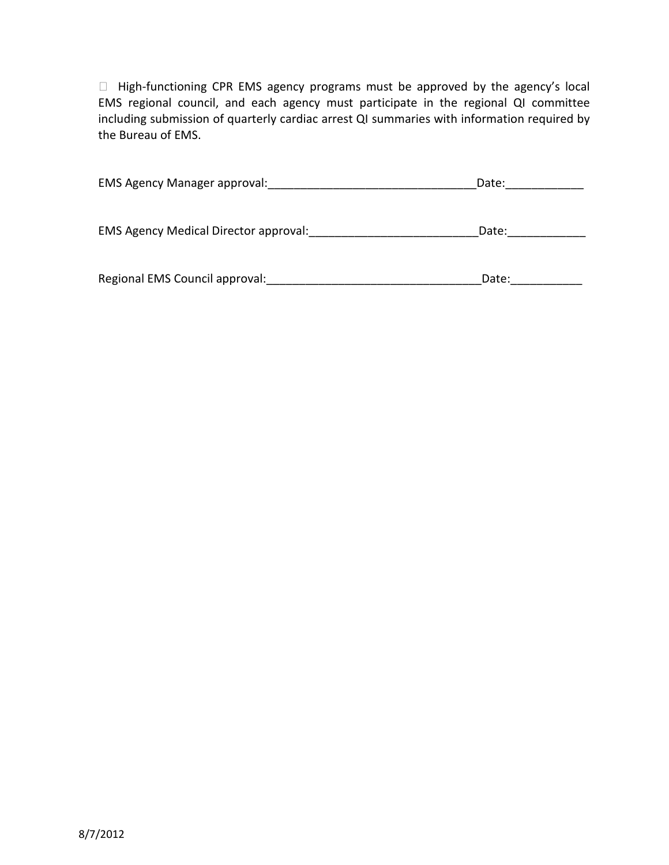$\Box$  High-functioning CPR EMS agency programs must be approved by the agency's local EMS regional council, and each agency must participate in the regional QI committee including submission of quarterly cardiac arrest QI summaries with information required by the Bureau of EMS.

| <b>EMS Agency Manager approval:</b>          | Date: |
|----------------------------------------------|-------|
| <b>EMS Agency Medical Director approval:</b> | Date: |
| Regional EMS Council approval:               | Date: |